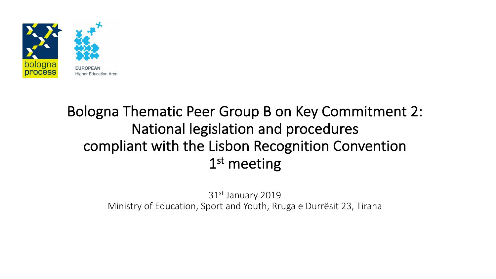

### Bologna Thematic Peer Group B on Key Commitment 2: National legislation and procedures compliant with the Lisbon Recognition Convention 1<sup>st</sup> meeting

31st January 2019 Ministry of Education, Sport and Youth, Rruga e Durrësit 23, Tirana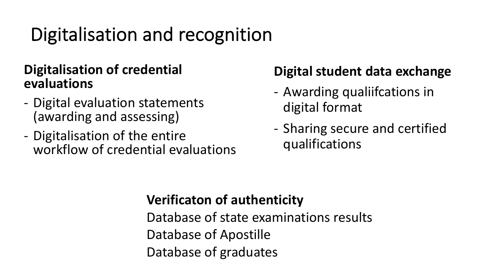### Digitalisation and recognition

#### **Digitalisation of credential evaluations**

- Digital evaluation statements (awarding and assessing)
- Digitalisation of the entire workflow of credential evaluations

### **Digital student data exchange**

- Awarding qualiifcations in digital format
- Sharing secure and certified qualifications

### **Verificaton of authenticity**

Database of state examinations results Database of Apostille Database of graduates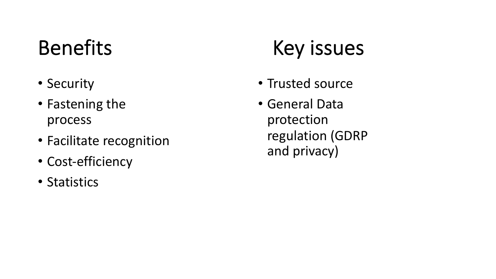## Benefits

- Security
- Fastening the process
- Facilitate recognition
- Cost-efficiency
- Statistics

# Key issues

- Trusted source
- General Data protection regulation (GDRP and privacy)